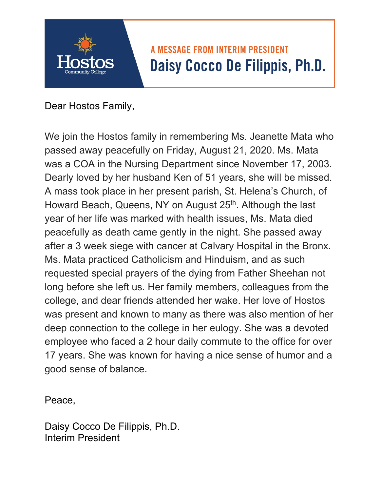## **A MESSAGE FROM INTERIM PRESIDENT** Daisy Cocco De Filippis, Ph.D.

Dear Hostos Family,

We join the Hostos family in remembering Ms. Jeanette Mata who passed away peacefully on Friday, August 21, 2020. Ms. Mata was a COA in the Nursing Department since November 17, 2003. Dearly loved by her husband Ken of 51 years, she will be missed. A mass took place in her present parish, St. Helena's Church, of Howard Beach, Queens, NY on August 25<sup>th</sup>. Although the last year of her life was marked with health issues, Ms. Mata died peacefully as death came gently in the night. She passed away after a 3 week siege with cancer at Calvary Hospital in the Bronx. Ms. Mata practiced Catholicism and Hinduism, and as such requested special prayers of the dying from Father Sheehan not long before she left us. Her family members, colleagues from the college, and dear friends attended her wake. Her love of Hostos was present and known to many as there was also mention of her deep connection to the college in her eulogy. She was a devoted employee who faced a 2 hour daily commute to the office for over 17 years. She was known for having a nice sense of humor and a good sense of balance.

Peace,

Daisy Cocco De Filippis, Ph.D. Interim President